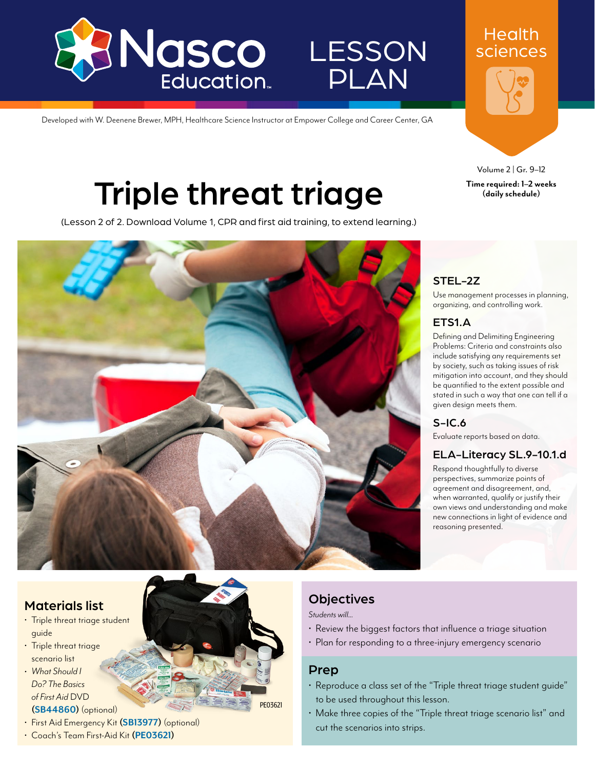

# **LESSON** PLAN

Developed with W. Deenene Brewer, MPH, Healthcare Science Instructor at Empower College and Career Center, GA

Volume 2 | Gr. 9–12 **Time required: 1–2 weeks (daily schedule)** 

**Health** sciences

# Triple threat triage

(Lesson 2 of 2. Download Volume 1, CPR and first aid training, to extend learning.)



### STEL-2Z

Use management processes in planning, organizing, and controlling work.

### ETS1.A

Defining and Delimiting Engineering Problems: Criteria and constraints also include satisfying any requirements set by society, such as taking issues of risk mitigation into account, and they should be quantified to the extent possible and stated in such a way that one can tell if a given design meets them.

### S-IC.6

Evaluate reports based on data.

### ELA-Literacy SL.9-10.1.d

Respond thoughtfully to diverse perspectives, summarize points of agreement and disagreement, and, when warranted, qualify or justify their own views and understanding and make new connections in light of evidence and reasoning presented.

### Materials list

- Triple threat triage student guide
- Triple threat triage scenario list
- *• What Should I Do? The Basics of First Aid* DVD **[\(SB44860\)](www.enasco.com/p/SB44860)** (optional)



• Coach's Team First-Aid Kit **[\(PE03621\)](www.enasco.com/p/PE03621)**

### **Objectives**

*Students will...*

- Review the biggest factors that influence a triage situation
- Plan for responding to a three-injury emergency scenario

### Prep

[PE03621](www.enasco.com/p/PE03621)

- Reproduce a class set of the "Triple threat triage student guide" to be used throughout this lesson.
- Make three copies of the "Triple threat triage scenario list" and cut the scenarios into strips.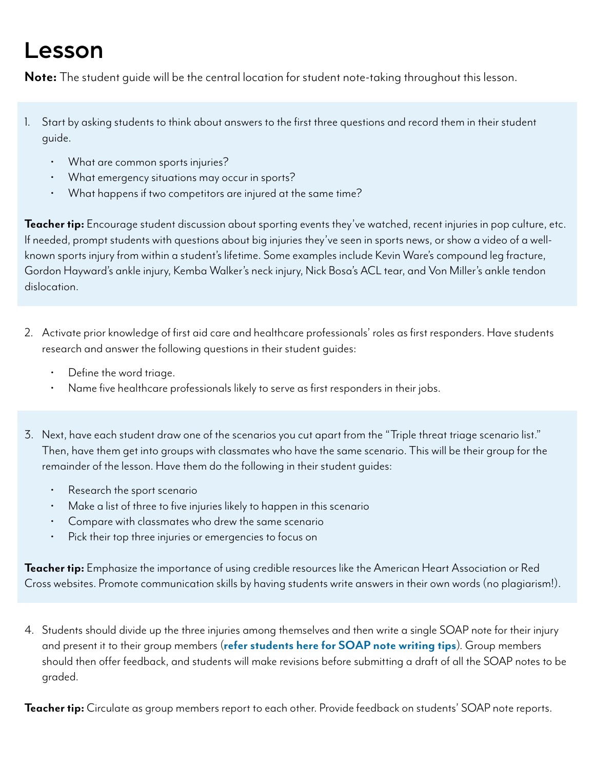## Lesson

**Note:** The student guide will be the central location for student note-taking throughout this lesson.

- 1. Start by asking students to think about answers to the first three questions and record them in their student guide.
	- What are common sports injuries?
	- What emergency situations may occur in sports?
	- What happens if two competitors are injured at the same time?

Teacher tip: Encourage student discussion about sporting events they've watched, recent injuries in pop culture, etc. If needed, prompt students with questions about big injuries they've seen in sports news, or show a video of a wellknown sports injury from within a student's lifetime. Some examples include Kevin Ware's compound leg fracture, Gordon Hayward's ankle injury, Kemba Walker's neck injury, Nick Bosa's ACL tear, and Von Miller's ankle tendon dislocation.

- 2. Activate prior knowledge of first aid care and healthcare professionals' roles as first responders. Have students research and answer the following questions in their student guides:
	- Define the word triage.
	- Name five healthcare professionals likely to serve as first responders in their jobs.
- 3. Next, have each student draw one of the scenarios you cut apart from the "Triple threat triage scenario list." Then, have them get into groups with classmates who have the same scenario. This will be their group for the remainder of the lesson. Have them do the following in their student guides:
	- Research the sport scenario
	- Make a list of three to five injuries likely to happen in this scenario
	- Compare with classmates who drew the same scenario
	- Pick their top three injuries or emergencies to focus on

**Teacher tip:** Emphasize the importance of using credible resources like the American Heart Association or Red Cross websites. Promote communication skills by having students write answers in their own words (no plagiarism!).

4. Students should divide up the three injuries among themselves and then write a single SOAP note for their injury and present it to their group members (**refer students here for SOAP note writing tips**). Group members should then offer feedback, and students will make revisions before submitting a draft of all the SOAP notes to be graded.

**Teacher tip:** Circulate as group members report to each other. Provide feedback on students' SOAP note reports.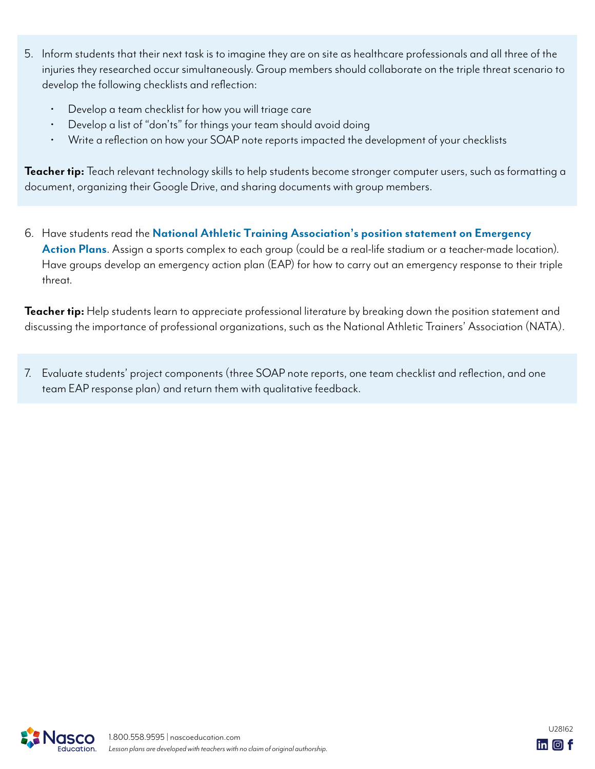- 5. Inform students that their next task is to imagine they are on site as healthcare professionals and all three of the injuries they researched occur simultaneously. Group members should collaborate on the triple threat scenario to develop the following checklists and reflection:
	- Develop a team checklist for how you will triage care
	- Develop a list of "don'ts" for things your team should avoid doing
	- Write a reflection on how your SOAP note reports impacted the development of your checklists

**Teacher tip:** Teach relevant technology skills to help students become stronger computer users, such as formatting a document, organizing their Google Drive, and sharing documents with group members.

6. Have students read the **National Athletic Training Association's position statement on Emergency Action Plans**. Assign a sports complex to each group (could be a real-life stadium or a teacher-made location). Have groups develop an emergency action plan (EAP) for how to carry out an emergency response to their triple threat.

**Teacher tip:** Help students learn to appreciate professional literature by breaking down the position statement and discussing the importance of professional organizations, such as the National Athletic Trainers' Association (NATA).

7. Evaluate students' project components (three SOAP note reports, one team checklist and reflection, and one team EAP response plan) and return them with qualitative feedback.

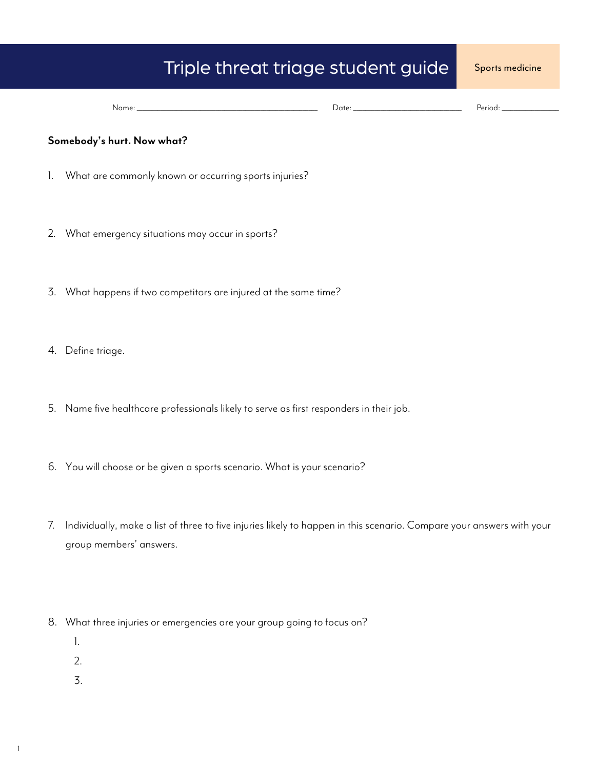### Triple threat triage student guide Sports medicine

| IName: | $\sim$ to $\sim$<br>,,,,, | TIOG.<br>-01 |
|--------|---------------------------|--------------|
|        |                           | .            |

#### **Somebody's hurt. Now what?**

- 1. What are commonly known or occurring sports injuries?
- 2. What emergency situations may occur in sports?
- 3. What happens if two competitors are injured at the same time?
- 4. Define triage.
- 5. Name five healthcare professionals likely to serve as first responders in their job.
- 6. You will choose or be given a sports scenario. What is your scenario?
- 7. Individually, make a list of three to five injuries likely to happen in this scenario. Compare your answers with your group members' answers.
- 8. What three injuries or emergencies are your group going to focus on?
	- 1.
	- 2.
	- 3.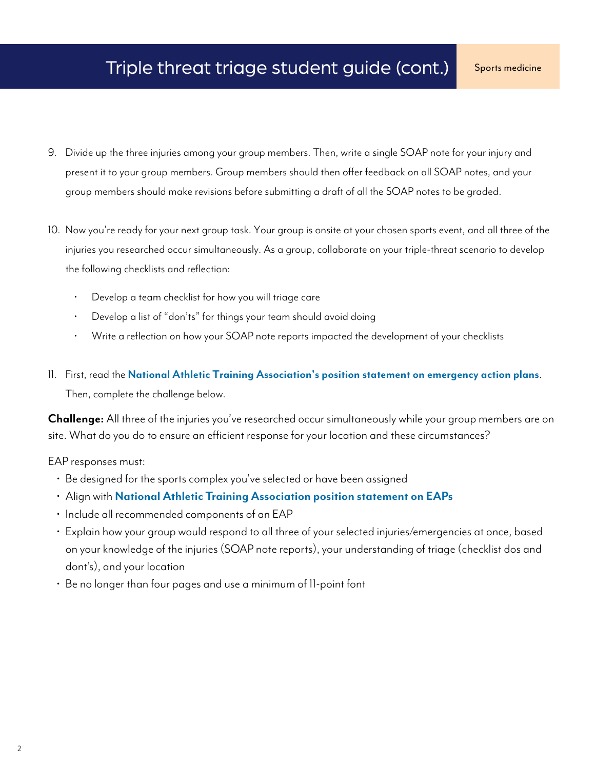- 9. Divide up the three injuries among your group members. Then, write a single SOAP note for your injury and present it to your group members. Group members should then offer feedback on all SOAP notes, and your group members should make revisions before submitting a draft of all the SOAP notes to be graded.
- 10. Now you're ready for your next group task. Your group is onsite at your chosen sports event, and all three of the injuries you researched occur simultaneously. As a group, collaborate on your triple-threat scenario to develop the following checklists and reflection:
	- Develop a team checklist for how you will triage care
	- Develop a list of "don'ts" for things your team should avoid doing
	- Write a reflection on how your SOAP note reports impacted the development of your checklists
- 11. First, read the **National Athletic Training Association's position statement on emergency action plans**. Then, complete the challenge below.

**Challenge:** All three of the injuries you've researched occur simultaneously while your group members are on site. What do you do to ensure an efficient response for your location and these circumstances?

EAP responses must:

- Be designed for the sports complex you've selected or have been assigned
- Align with **National Athletic Training Association position statement on EAPs**
- Include all recommended components of an EAP
- Explain how your group would respond to all three of your selected injuries/emergencies at once, based on your knowledge of the injuries (SOAP note reports), your understanding of triage (checklist dos and dont's), and your location
- Be no longer than four pages and use a minimum of 11-point font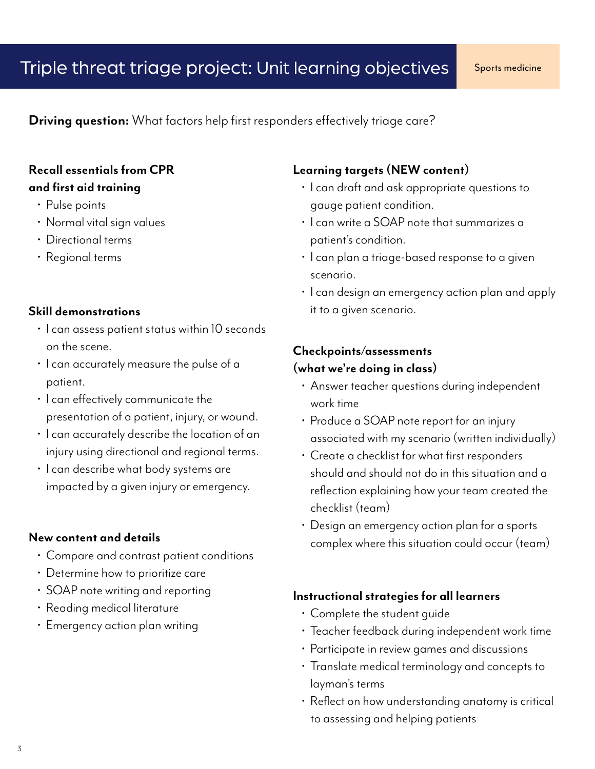**Driving question:** What factors help first responders effectively triage care?

### **Recall essentials from CPR and first aid training**

- Pulse points
- Normal vital sign values
- Directional terms
- Regional terms

### **Skill demonstrations**

- I can assess patient status within 10 seconds on the scene.
- I can accurately measure the pulse of a patient.
- I can effectively communicate the presentation of a patient, injury, or wound.
- I can accurately describe the location of an injury using directional and regional terms.
- I can describe what body systems are impacted by a given injury or emergency.

#### **New content and details**

- Compare and contrast patient conditions
- Determine how to prioritize care
- SOAP note writing and reporting
- Reading medical literature
- Emergency action plan writing

### **Learning targets (NEW content)**

- I can draft and ask appropriate questions to gauge patient condition.
- I can write a SOAP note that summarizes a patient's condition.
- I can plan a triage-based response to a given scenario.
- I can design an emergency action plan and apply it to a given scenario.

### **Checkpoints/assessments (what we're doing in class)**

- Answer teacher questions during independent work time
- Produce a SOAP note report for an injury associated with my scenario (written individually)
- Create a checklist for what first responders should and should not do in this situation and a reflection explaining how your team created the checklist (team)
- Design an emergency action plan for a sports complex where this situation could occur (team)

### **Instructional strategies for all learners**

- Complete the student guide
- Teacher feedback during independent work time
- Participate in review games and discussions
- Translate medical terminology and concepts to layman's terms
- Reflect on how understanding anatomy is critical to assessing and helping patients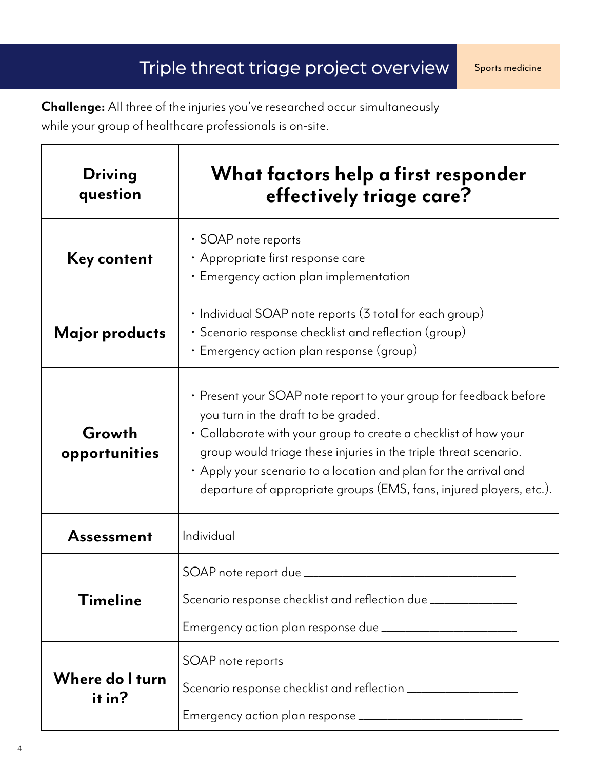**Challenge:** All three of the injuries you've researched occur simultaneously while your group of healthcare professionals is on-site.

| <b>Driving</b><br>question | What factors help a first responder<br>effectively triage care?                                                                                                                                                                                                                                                                                                                            |  |
|----------------------------|--------------------------------------------------------------------------------------------------------------------------------------------------------------------------------------------------------------------------------------------------------------------------------------------------------------------------------------------------------------------------------------------|--|
| <b>Key content</b>         | • SOAP note reports<br>· Appropriate first response care<br>· Emergency action plan implementation                                                                                                                                                                                                                                                                                         |  |
| Major products             | • Individual SOAP note reports (3 total for each group)<br>• Scenario response checklist and reflection (group)<br>$\cdot$ Emergency action plan response (group)                                                                                                                                                                                                                          |  |
| Growth<br>opportunities    | • Present your SOAP note report to your group for feedback before<br>you turn in the draft to be graded.<br>• Collaborate with your group to create a checklist of how your<br>group would triage these injuries in the triple threat scenario.<br>• Apply your scenario to a location and plan for the arrival and<br>departure of appropriate groups (EMS, fans, injured players, etc.). |  |
| Assessment                 | Individual                                                                                                                                                                                                                                                                                                                                                                                 |  |
| <b>Timeline</b>            | SOAP note report due _<br>Scenario response checklist and reflection due _______________<br>Emergency action plan response due _________________________                                                                                                                                                                                                                                   |  |
| Where do I turn<br>it in?  |                                                                                                                                                                                                                                                                                                                                                                                            |  |